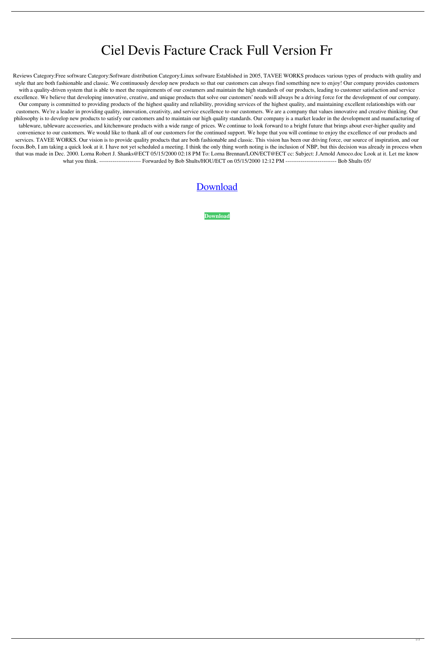## Ciel Devis Facture Crack Full Version Fr

Reviews Category:Free software Category:Software distribution Category:Linux software Established in 2005, TAVEE WORKS produces various types of products with quality and style that are both fashionable and classic. We continuously develop new products so that our customers can always find something new to enjoy! Our company provides customers with a quality-driven system that is able to meet the requirements of our costumers and maintain the high standards of our products, leading to customer satisfaction and service excellence. We believe that developing innovative, creative, and unique products that solve our customers' needs will always be a driving force for the development of our company. Our company is committed to providing products of the highest quality and reliability, providing services of the highest quality, and maintaining excellent relationships with our customers. We're a leader in providing quality, innovation, creativity, and service excellence to our customers. We are a company that values innovative and creative thinking. Our philosophy is to develop new products to satisfy our customers and to maintain our high quality standards. Our company is a market leader in the development and manufacturing of tableware, tableware accessories, and kitchenware products with a wide range of prices. We continue to look forward to a bright future that brings about ever-higher quality and convenience to our customers. We would like to thank all of our customers for the continued support. We hope that you will continue to enjoy the excellence of our products and services. TAVEE WORKS. Our vision is to provide quality products that are both fashionable and classic. This vision has been our driving force, our source of inspiration, and our focus.Bob, I am taking a quick look at it. I have not yet scheduled a meeting. I think the only thing worth noting is the inclusion of NBP, but this decision was already in process when that was made in Dec. 2000. Lorna Robert J. Shanks@ECT 05/15/2000 02:18 PM To: Lorna Brennan/LON/ECT@ECT cc: Subject: J.Arnold Amoco.doc Look at it. Let me know what you think. ---------------------- Forwarded by Bob Shults/HOU/ECT on 05/15/2000 12:12 PM --------------------------- Bob Shults 05/

## **[Download](http://evacdir.com/jails/ZG93bmxvYWR8NzlJTVhJeFpIeDhNVFkxTWpjME1EZzJObng4TWpVM05IeDhLRTBwSUhKbFlXUXRZbXh2WnlCYlJtRnpkQ0JIUlU1ZA/?agility=fundamental&Y2llbCBkZXZpcyBmYWN0dXJlIGNyYWNrIGZ1bGwgdmVyc2lvbiBmcgY2l=mayonnaise..)**